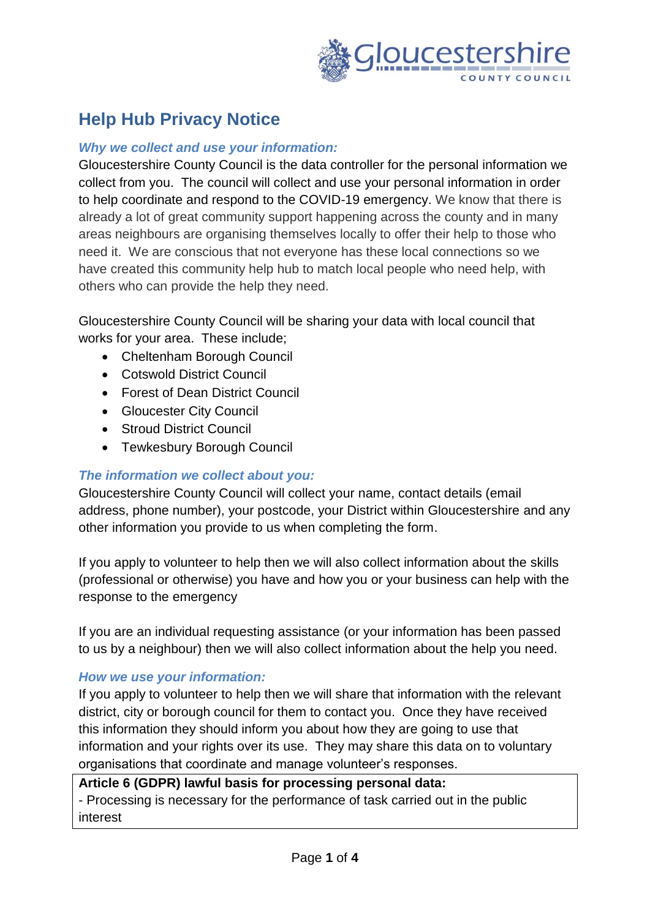

# **Help Hub Privacy Notice**

### *Why we collect and use your information:*

Gloucestershire County Council is the data controller for the personal information we collect from you. The council will collect and use your personal information in order to help coordinate and respond to the COVID-19 emergency. We know that there is already a lot of great community support happening across the county and in many areas neighbours are organising themselves locally to offer their help to those who need it. We are conscious that not everyone has these local connections so we have created this community help hub to match local people who need help, with others who can provide the help they need.

Gloucestershire County Council will be sharing your data with local council that works for your area. These include;

- Cheltenham Borough Council
- Cotswold District Council
- Forest of Dean District Council
- Gloucester City Council
- Stroud District Council
- Tewkesbury Borough Council

### *The information we collect about you:*

Gloucestershire County Council will collect your name, contact details (email address, phone number), your postcode, your District within Gloucestershire and any other information you provide to us when completing the form.

If you apply to volunteer to help then we will also collect information about the skills (professional or otherwise) you have and how you or your business can help with the response to the emergency

If you are an individual requesting assistance (or your information has been passed to us by a neighbour) then we will also collect information about the help you need.

### *How we use your information:*

If you apply to volunteer to help then we will share that information with the relevant district, city or borough council for them to contact you. Once they have received this information they should inform you about how they are going to use that information and your rights over its use. They may share this data on to voluntary organisations that coordinate and manage volunteer's responses.

### **Article 6 (GDPR) lawful basis for processing personal data:**

- Processing is necessary for the performance of task carried out in the public interest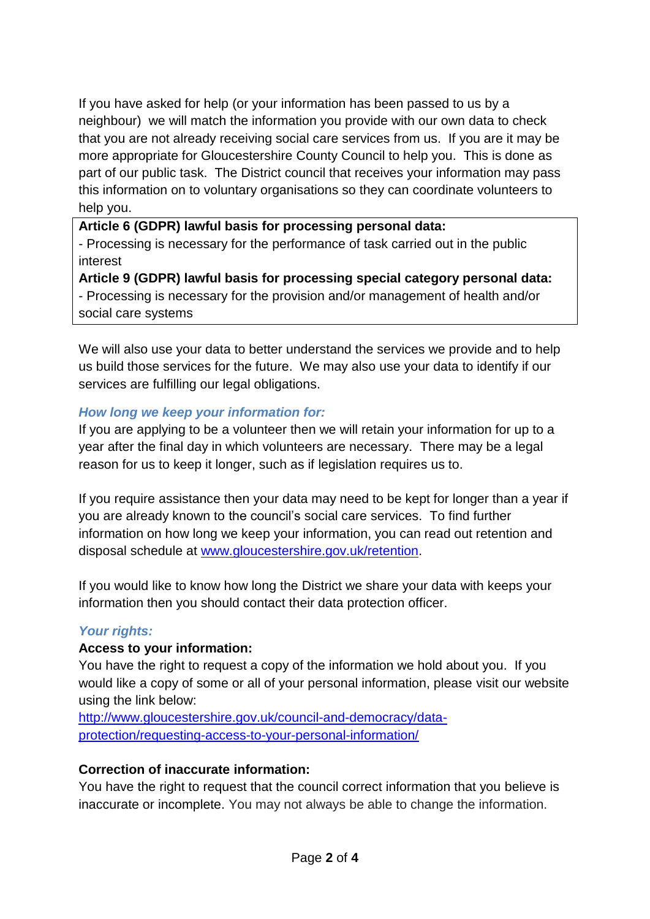If you have asked for help (or your information has been passed to us by a neighbour) we will match the information you provide with our own data to check that you are not already receiving social care services from us. If you are it may be more appropriate for Gloucestershire County Council to help you. This is done as part of our public task. The District council that receives your information may pass this information on to voluntary organisations so they can coordinate volunteers to help you.

### **Article 6 (GDPR) lawful basis for processing personal data:**

- Processing is necessary for the performance of task carried out in the public interest

**Article 9 (GDPR) lawful basis for processing special category personal data:**

- Processing is necessary for the provision and/or management of health and/or social care systems

We will also use your data to better understand the services we provide and to help us build those services for the future. We may also use your data to identify if our services are fulfilling our legal obligations.

### *How long we keep your information for:*

If you are applying to be a volunteer then we will retain your information for up to a year after the final day in which volunteers are necessary. There may be a legal reason for us to keep it longer, such as if legislation requires us to.

If you require assistance then your data may need to be kept for longer than a year if you are already known to the council's social care services. To find further information on how long we keep your information, you can read out retention and disposal schedule at [www.gloucestershire.gov.uk/retention.](http://www.gloucestershire.gov.uk/retention)

If you would like to know how long the District we share your data with keeps your information then you should contact their data protection officer.

### *Your rights:*

### **Access to your information:**

You have the right to request a copy of the information we hold about you. If you would like a copy of some or all of your personal information, please visit our website using the link below:

[http://www.gloucestershire.gov.uk/council-and-democracy/data](http://www.gloucestershire.gov.uk/council-and-democracy/data-protection/requesting-access-to-your-personal-information/)[protection/requesting-access-to-your-personal-information/](http://www.gloucestershire.gov.uk/council-and-democracy/data-protection/requesting-access-to-your-personal-information/)

### **Correction of inaccurate information:**

You have the right to request that the council correct information that you believe is inaccurate or incomplete. You may not always be able to change the information.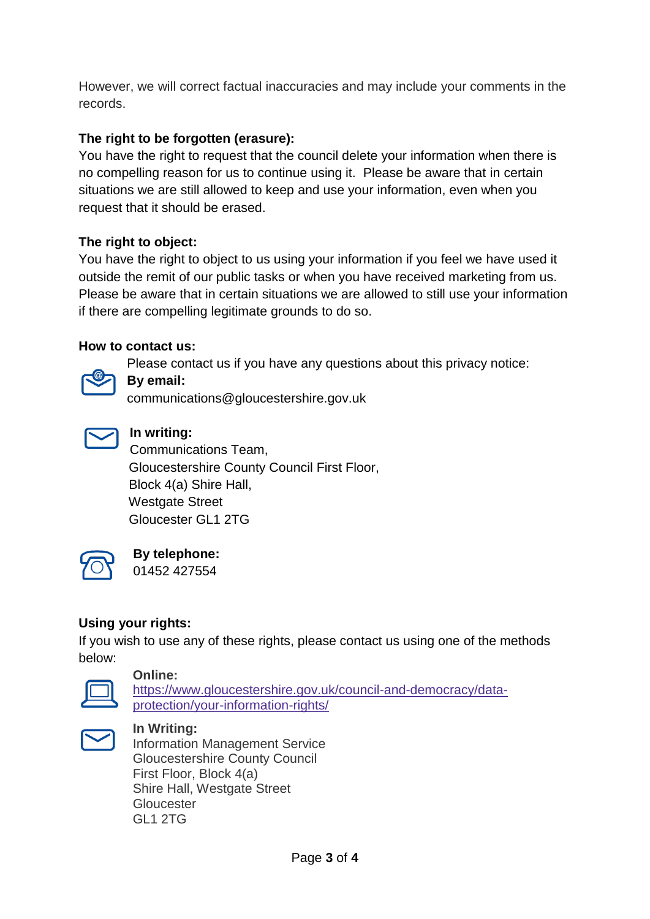However, we will correct factual inaccuracies and may include your comments in the records.

# **The right to be forgotten (erasure):**

You have the right to request that the council delete your information when there is no compelling reason for us to continue using it. Please be aware that in certain situations we are still allowed to keep and use your information, even when you request that it should be erased.

# **The right to object:**

You have the right to object to us using your information if you feel we have used it outside the remit of our public tasks or when you have received marketing from us. Please be aware that in certain situations we are allowed to still use your information if there are compelling legitimate grounds to do so.

### **How to contact us:**

Please contact us if you have any questions about this privacy notice:



# **By email:**

communications@gloucestershire.gov.uk



# **In writing:**

Communications Team, Gloucestershire County Council First Floor, Block 4(a) Shire Hall, Westgate Street Gloucester GL1 2TG



# **By telephone:**

01452 427554

### **Using your rights:**

If you wish to use any of these rights, please contact us using one of the methods below:



#### **Online:**

[https://www.gloucestershire.gov.uk/council-and-democracy/data](https://www.gloucestershire.gov.uk/council-and-democracy/data-protection/your-information-rights/)[protection/your-information-rights/](https://www.gloucestershire.gov.uk/council-and-democracy/data-protection/your-information-rights/)



### **In Writing:**

Information Management Service Gloucestershire County Council First Floor, Block 4(a) Shire Hall, Westgate Street **Gloucester** GL1 2TG